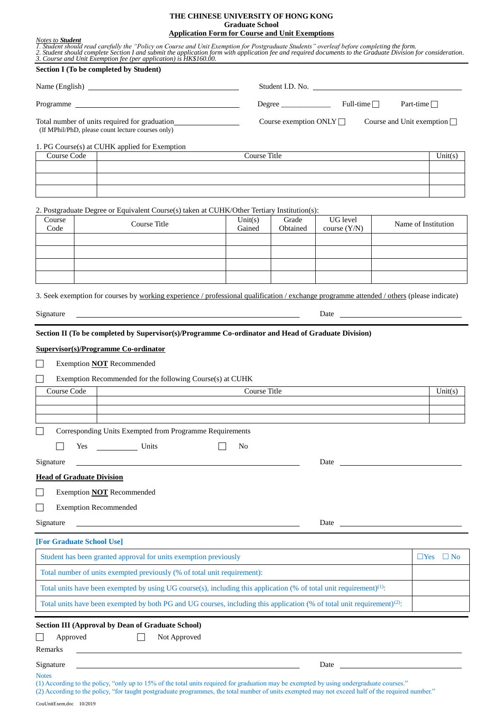#### **THE CHINESE UNIVERSITY OF HONG KONG Graduate School Application Form for Course and Unit Exemptions**

|                                                                                                                                                                                                                                                                                                                                                                         | Section I (To be completed by Student)                                                                                                    |                                                            |          |                |  |                      |
|-------------------------------------------------------------------------------------------------------------------------------------------------------------------------------------------------------------------------------------------------------------------------------------------------------------------------------------------------------------------------|-------------------------------------------------------------------------------------------------------------------------------------------|------------------------------------------------------------|----------|----------------|--|----------------------|
|                                                                                                                                                                                                                                                                                                                                                                         |                                                                                                                                           |                                                            |          |                |  |                      |
|                                                                                                                                                                                                                                                                                                                                                                         |                                                                                                                                           | Student I.D. No.<br>$Degree$ Full-time<br>Part-time $\Box$ |          |                |  |                      |
|                                                                                                                                                                                                                                                                                                                                                                         |                                                                                                                                           |                                                            |          |                |  |                      |
| Course Code                                                                                                                                                                                                                                                                                                                                                             | 1. PG Course(s) at CUHK applied for Exemption                                                                                             | Course Title                                               |          |                |  | $\overline{Unit(s)}$ |
|                                                                                                                                                                                                                                                                                                                                                                         |                                                                                                                                           |                                                            |          |                |  |                      |
|                                                                                                                                                                                                                                                                                                                                                                         |                                                                                                                                           |                                                            |          |                |  |                      |
|                                                                                                                                                                                                                                                                                                                                                                         |                                                                                                                                           |                                                            |          |                |  |                      |
| Course                                                                                                                                                                                                                                                                                                                                                                  | 2. Postgraduate Degree or Equivalent Course(s) taken at CUHK/Other Tertiary Institution(s):                                               | Unit(s)                                                    | Grade    | UG level       |  |                      |
| Code                                                                                                                                                                                                                                                                                                                                                                    | Course Title                                                                                                                              | Gained                                                     | Obtained | course $(Y/N)$ |  | Name of Institution  |
|                                                                                                                                                                                                                                                                                                                                                                         |                                                                                                                                           |                                                            |          |                |  |                      |
|                                                                                                                                                                                                                                                                                                                                                                         |                                                                                                                                           |                                                            |          |                |  |                      |
|                                                                                                                                                                                                                                                                                                                                                                         |                                                                                                                                           |                                                            |          |                |  |                      |
|                                                                                                                                                                                                                                                                                                                                                                         |                                                                                                                                           |                                                            |          |                |  |                      |
|                                                                                                                                                                                                                                                                                                                                                                         | 3. Seek exemption for courses by working experience / professional qualification / exchange programme attended / others (please indicate) |                                                            |          |                |  |                      |
| Date <b>Date Contract Contract Contract Contract Contract Contract Contract Contract Contract Contract Contract Contract Contract Contract Contract Contract Contract Contract Contract Contract Contract Contract Contract Co</b><br>Signature<br><u> Alexandria de la contrada de la contrada de la contrada de la contrada de la contrada de la contrada de la c</u> |                                                                                                                                           |                                                            |          |                |  |                      |
|                                                                                                                                                                                                                                                                                                                                                                         | Section II (To be completed by Supervisor(s)/Programme Co-ordinator and Head of Graduate Division)                                        |                                                            |          |                |  |                      |
|                                                                                                                                                                                                                                                                                                                                                                         |                                                                                                                                           |                                                            |          |                |  |                      |
|                                                                                                                                                                                                                                                                                                                                                                         | <b>Supervisor(s)/Programme Co-ordinator</b>                                                                                               |                                                            |          |                |  |                      |
|                                                                                                                                                                                                                                                                                                                                                                         | <b>Exemption NOT Recommended</b>                                                                                                          |                                                            |          |                |  |                      |
|                                                                                                                                                                                                                                                                                                                                                                         | Exemption Recommended for the following Course(s) at CUHK                                                                                 |                                                            |          |                |  |                      |
| Course Code                                                                                                                                                                                                                                                                                                                                                             |                                                                                                                                           | Course Title                                               |          |                |  |                      |
|                                                                                                                                                                                                                                                                                                                                                                         |                                                                                                                                           |                                                            |          |                |  |                      |
|                                                                                                                                                                                                                                                                                                                                                                         |                                                                                                                                           |                                                            |          |                |  |                      |
|                                                                                                                                                                                                                                                                                                                                                                         | Corresponding Units Exempted from Programme Requirements                                                                                  |                                                            |          |                |  |                      |
|                                                                                                                                                                                                                                                                                                                                                                         | Yes Units                                                                                                                                 | N <sub>0</sub>                                             |          |                |  |                      |
|                                                                                                                                                                                                                                                                                                                                                                         |                                                                                                                                           |                                                            |          | Date           |  | Unit(s)              |
|                                                                                                                                                                                                                                                                                                                                                                         |                                                                                                                                           |                                                            |          |                |  |                      |
|                                                                                                                                                                                                                                                                                                                                                                         | Exemption <b>NOT</b> Recommended                                                                                                          |                                                            |          |                |  |                      |
| <b>Exemption Recommended</b>                                                                                                                                                                                                                                                                                                                                            |                                                                                                                                           |                                                            |          |                |  |                      |
|                                                                                                                                                                                                                                                                                                                                                                         | <u> 1980 - Johann Barn, mars ann an t-Amhain Aonaichte ann an t-Aonaichte ann an t-Aonaichte ann an t-Aonaichte a</u>                     |                                                            |          |                |  |                      |
|                                                                                                                                                                                                                                                                                                                                                                         |                                                                                                                                           |                                                            |          |                |  |                      |
|                                                                                                                                                                                                                                                                                                                                                                         | Student has been granted approval for units exemption previously                                                                          |                                                            |          |                |  |                      |
|                                                                                                                                                                                                                                                                                                                                                                         |                                                                                                                                           |                                                            |          |                |  | $\Box$ Yes $\Box$ No |
|                                                                                                                                                                                                                                                                                                                                                                         | Total number of units exempted previously (% of total unit requirement):                                                                  |                                                            |          |                |  |                      |
|                                                                                                                                                                                                                                                                                                                                                                         | Total units have been exempted by using UG course(s), including this application (% of total unit requirement) <sup>(1)</sup> :           |                                                            |          |                |  |                      |
| Signature<br><b>Head of Graduate Division</b><br>Signature<br>[For Graduate School Use]                                                                                                                                                                                                                                                                                 | Total units have been exempted by both PG and UG courses, including this application (% of total unit requirement) <sup>(2)</sup> :       |                                                            |          |                |  |                      |
|                                                                                                                                                                                                                                                                                                                                                                         | <b>Section III (Approval by Dean of Graduate School)</b>                                                                                  |                                                            |          |                |  |                      |
| Approved                                                                                                                                                                                                                                                                                                                                                                | Not Approved                                                                                                                              |                                                            |          |                |  |                      |
| Remarks<br>Signature                                                                                                                                                                                                                                                                                                                                                    |                                                                                                                                           |                                                            |          | Date           |  |                      |

(2) According to the policy, "for taught postgraduate programmes, the total number of units exempted may not exceed half of the required number."

<sup>(1)</sup> According to the policy, "only up to 15% of the total units required for graduation may be exempted by using undergraduate courses."